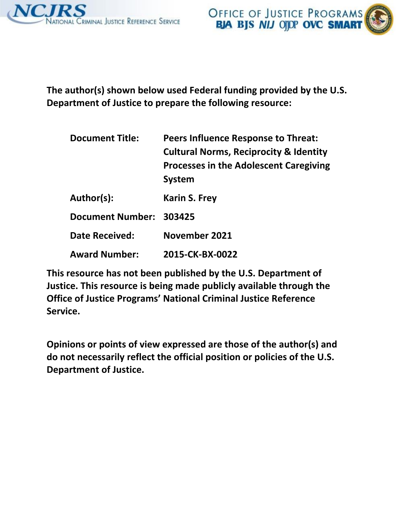



**The author(s) shown below used Federal funding provided by the U.S. Department of Justice to prepare the following resource:**

| <b>Document Title:</b>  | <b>Peers Influence Response to Threat:</b><br><b>Cultural Norms, Reciprocity &amp; Identity</b><br><b>Processes in the Adolescent Caregiving</b><br><b>System</b> |
|-------------------------|-------------------------------------------------------------------------------------------------------------------------------------------------------------------|
| Author(s):              | <b>Karin S. Frey</b>                                                                                                                                              |
| <b>Document Number:</b> | 303425                                                                                                                                                            |
| <b>Date Received:</b>   | November 2021                                                                                                                                                     |
| <b>Award Number:</b>    | 2015-CK-BX-0022                                                                                                                                                   |

**This resource has not been published by the U.S. Department of Justice. This resource is being made publicly available through the Office of Justice Programs' National Criminal Justice Reference Service.**

**Opinions or points of view expressed are those of the author(s) and do not necessarily reflect the official position or policies of the U.S. Department of Justice.**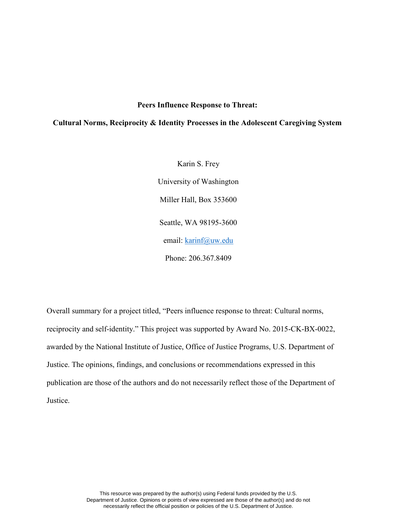# **Peers Influence Response to Threat:**

# **Cultural Norms, Reciprocity & Identity Processes in the Adolescent Caregiving System**

Karin S. Frey University of Washington Miller Hall, Box 353600 Seattle, WA 98195-3600 email: [karinf@uw.edu](mailto:karinf@uw.edu) Phone: 206.367.8409

Overall summary for a project titled, "Peers influence response to threat: Cultural norms, reciprocity and self-identity." This project was supported by Award No. 2015-CK-BX-0022, awarded by the National Institute of Justice, Office of Justice Programs, U.S. Department of Justice. The opinions, findings, and conclusions or recommendations expressed in this publication are those of the authors and do not necessarily reflect those of the Department of Justice.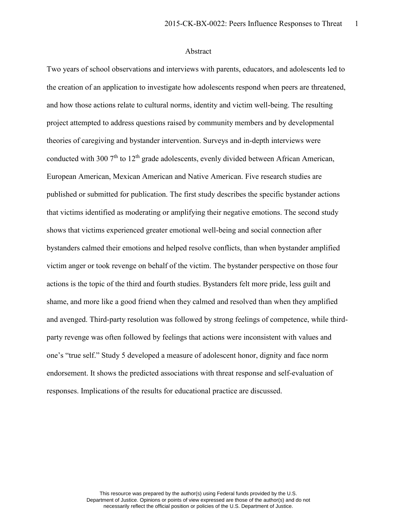## Abstract

Two years of school observations and interviews with parents, educators, and adolescents led to the creation of an application to investigate how adolescents respond when peers are threatened, and how those actions relate to cultural norms, identity and victim well-being. The resulting project attempted to address questions raised by community members and by developmental theories of caregiving and bystander intervention. Surveys and in-depth interviews were conducted with 300  $7<sup>th</sup>$  to  $12<sup>th</sup>$  grade adolescents, evenly divided between African American, European American, Mexican American and Native American. Five research studies are published or submitted for publication. The first study describes the specific bystander actions that victims identified as moderating or amplifying their negative emotions. The second study shows that victims experienced greater emotional well-being and social connection after bystanders calmed their emotions and helped resolve conflicts, than when bystander amplified victim anger or took revenge on behalf of the victim. The bystander perspective on those four actions is the topic of the third and fourth studies. Bystanders felt more pride, less guilt and shame, and more like a good friend when they calmed and resolved than when they amplified and avenged. Third-party resolution was followed by strong feelings of competence, while thirdparty revenge was often followed by feelings that actions were inconsistent with values and one's "true self." Study 5 developed a measure of adolescent honor, dignity and face norm endorsement. It shows the predicted associations with threat response and self-evaluation of responses. Implications of the results for educational practice are discussed.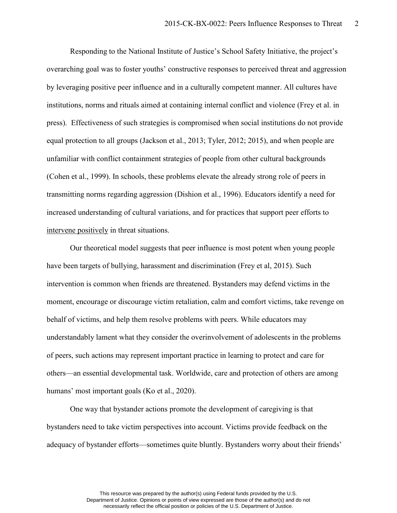Responding to the National Institute of Justice's School Safety Initiative, the project's overarching goal was to foster youths' constructive responses to perceived threat and aggression by leveraging positive peer influence and in a culturally competent manner. All cultures have institutions, norms and rituals aimed at containing internal conflict and violence (Frey et al. in press). Effectiveness of such strategies is compromised when social institutions do not provide equal protection to all groups (Jackson et al., 2013; Tyler, 2012; 2015), and when people are unfamiliar with conflict containment strategies of people from other cultural backgrounds (Cohen et al., 1999). In schools, these problems elevate the already strong role of peers in transmitting norms regarding aggression (Dishion et al., 1996). Educators identify a need for increased understanding of cultural variations, and for practices that support peer efforts to intervene positively in threat situations.

Our theoretical model suggests that peer influence is most potent when young people have been targets of bullying, harassment and discrimination (Frey et al, 2015). Such intervention is common when friends are threatened. Bystanders may defend victims in the moment, encourage or discourage victim retaliation, calm and comfort victims, take revenge on behalf of victims, and help them resolve problems with peers. While educators may understandably lament what they consider the overinvolvement of adolescents in the problems of peers, such actions may represent important practice in learning to protect and care for others—an essential developmental task. Worldwide, care and protection of others are among humans' most important goals (Ko et al., 2020).

One way that bystander actions promote the development of caregiving is that bystanders need to take victim perspectives into account. Victims provide feedback on the adequacy of bystander efforts—sometimes quite bluntly. Bystanders worry about their friends'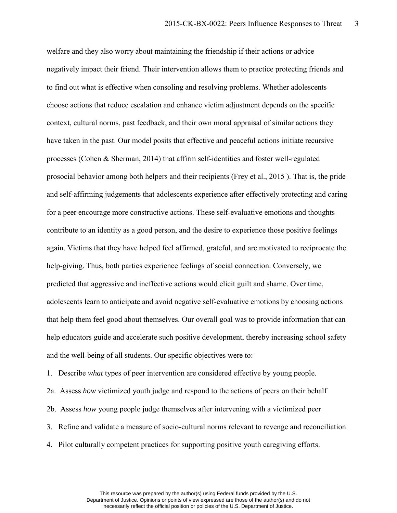welfare and they also worry about maintaining the friendship if their actions or advice negatively impact their friend. Their intervention allows them to practice protecting friends and to find out what is effective when consoling and resolving problems. Whether adolescents choose actions that reduce escalation and enhance victim adjustment depends on the specific context, cultural norms, past feedback, and their own moral appraisal of similar actions they have taken in the past. Our model posits that effective and peaceful actions initiate recursive processes (Cohen & Sherman, 2014) that affirm self-identities and foster well-regulated prosocial behavior among both helpers and their recipients (Frey et al., 2015 ). That is, the pride and self-affirming judgements that adolescents experience after effectively protecting and caring for a peer encourage more constructive actions. These self-evaluative emotions and thoughts contribute to an identity as a good person, and the desire to experience those positive feelings again. Victims that they have helped feel affirmed, grateful, and are motivated to reciprocate the help-giving. Thus, both parties experience feelings of social connection. Conversely, we predicted that aggressive and ineffective actions would elicit guilt and shame. Over time, adolescents learn to anticipate and avoid negative self-evaluative emotions by choosing actions that help them feel good about themselves. Our overall goal was to provide information that can help educators guide and accelerate such positive development, thereby increasing school safety and the well-being of all students. Our specific objectives were to:

1. Describe *what* types of peer intervention are considered effective by young people.

2a. Assess *how* victimized youth judge and respond to the actions of peers on their behalf 2b. Assess *how* young people judge themselves after intervening with a victimized peer 3. Refine and validate a measure of socio-cultural norms relevant to revenge and reconciliation

4. Pilot culturally competent practices for supporting positive youth caregiving efforts.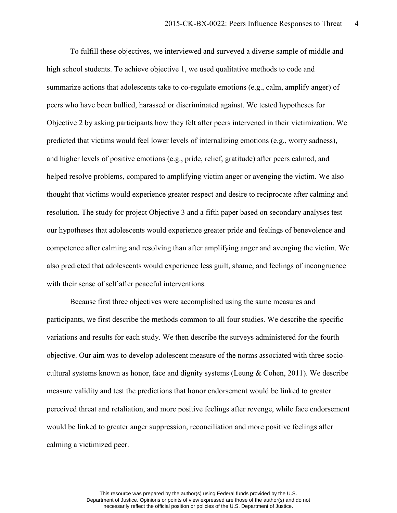To fulfill these objectives, we interviewed and surveyed a diverse sample of middle and high school students. To achieve objective 1, we used qualitative methods to code and summarize actions that adolescents take to co-regulate emotions (e.g., calm, amplify anger) of peers who have been bullied, harassed or discriminated against. We tested hypotheses for Objective 2 by asking participants how they felt after peers intervened in their victimization. We predicted that victims would feel lower levels of internalizing emotions (e.g., worry sadness), and higher levels of positive emotions (e.g., pride, relief, gratitude) after peers calmed, and helped resolve problems, compared to amplifying victim anger or avenging the victim. We also thought that victims would experience greater respect and desire to reciprocate after calming and resolution. The study for project Objective 3 and a fifth paper based on secondary analyses test our hypotheses that adolescents would experience greater pride and feelings of benevolence and competence after calming and resolving than after amplifying anger and avenging the victim. We also predicted that adolescents would experience less guilt, shame, and feelings of incongruence with their sense of self after peaceful interventions.

Because first three objectives were accomplished using the same measures and participants, we first describe the methods common to all four studies. We describe the specific variations and results for each study. We then describe the surveys administered for the fourth objective. Our aim was to develop adolescent measure of the norms associated with three sociocultural systems known as honor, face and dignity systems (Leung  $& Cohen, 2011$ ). We describe measure validity and test the predictions that honor endorsement would be linked to greater perceived threat and retaliation, and more positive feelings after revenge, while face endorsement would be linked to greater anger suppression, reconciliation and more positive feelings after calming a victimized peer.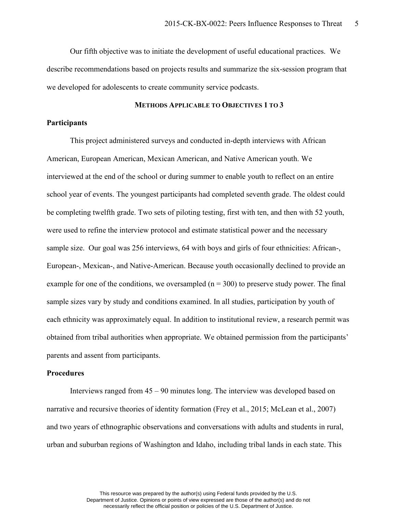Our fifth objective was to initiate the development of useful educational practices. We describe recommendations based on projects results and summarize the six-session program that we developed for adolescents to create community service podcasts.

# **METHODS APPLICABLE TO OBJECTIVES 1 TO 3**

# **Participants**

This project administered surveys and conducted in-depth interviews with African American, European American, Mexican American, and Native American youth. We interviewed at the end of the school or during summer to enable youth to reflect on an entire school year of events. The youngest participants had completed seventh grade. The oldest could be completing twelfth grade. Two sets of piloting testing, first with ten, and then with 52 youth, were used to refine the interview protocol and estimate statistical power and the necessary sample size. Our goal was 256 interviews, 64 with boys and girls of four ethnicities: African-, European-, Mexican-, and Native-American. Because youth occasionally declined to provide an example for one of the conditions, we oversampled  $(n = 300)$  to preserve study power. The final sample sizes vary by study and conditions examined. In all studies, participation by youth of each ethnicity was approximately equal. In addition to institutional review, a research permit was obtained from tribal authorities when appropriate. We obtained permission from the participants' parents and assent from participants.

### **Procedures**

Interviews ranged from 45 – 90 minutes long. The interview was developed based on narrative and recursive theories of identity formation (Frey et al., 2015; McLean et al., 2007) and two years of ethnographic observations and conversations with adults and students in rural, urban and suburban regions of Washington and Idaho, including tribal lands in each state. This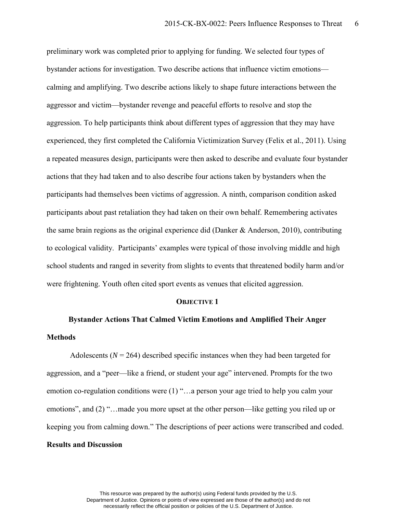preliminary work was completed prior to applying for funding. We selected four types of bystander actions for investigation. Two describe actions that influence victim emotions calming and amplifying. Two describe actions likely to shape future interactions between the aggressor and victim—bystander revenge and peaceful efforts to resolve and stop the aggression. To help participants think about different types of aggression that they may have experienced, they first completed the California Victimization Survey (Felix et al., 2011). Using a repeated measures design, participants were then asked to describe and evaluate four bystander actions that they had taken and to also describe four actions taken by bystanders when the participants had themselves been victims of aggression. A ninth, comparison condition asked participants about past retaliation they had taken on their own behalf. Remembering activates the same brain regions as the original experience did (Danker & Anderson, 2010), contributing to ecological validity. Participants' examples were typical of those involving middle and high school students and ranged in severity from slights to events that threatened bodily harm and/or were frightening. Youth often cited sport events as venues that elicited aggression.

#### **OBJECTIVE 1**

# **Bystander Actions That Calmed Victim Emotions and Amplified Their Anger Methods**

Adolescents  $(N = 264)$  described specific instances when they had been targeted for aggression, and a "peer—like a friend, or student your age" intervened. Prompts for the two emotion co-regulation conditions were (1) "…a person your age tried to help you calm your emotions", and (2) "…made you more upset at the other person—like getting you riled up or keeping you from calming down." The descriptions of peer actions were transcribed and coded. **Results and Discussion**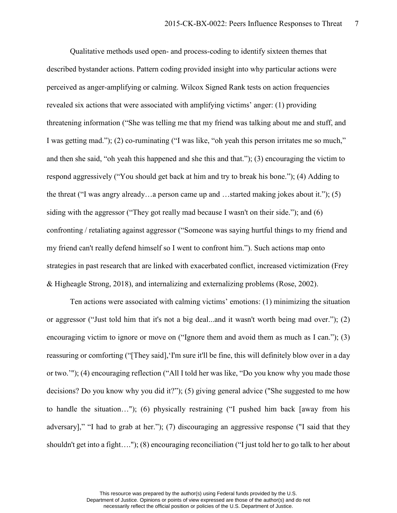Qualitative methods used open- and process-coding to identify sixteen themes that described bystander actions. Pattern coding provided insight into why particular actions were perceived as anger-amplifying or calming. Wilcox Signed Rank tests on action frequencies revealed six actions that were associated with amplifying victims' anger: (1) providing threatening information ("She was telling me that my friend was talking about me and stuff, and I was getting mad."); (2) co-ruminating ("I was like, "oh yeah this person irritates me so much," and then she said, "oh yeah this happened and she this and that."); (3) encouraging the victim to respond aggressively ("You should get back at him and try to break his bone."); (4) Adding to the threat ("I was angry already…a person came up and …started making jokes about it."); (5) siding with the aggressor ("They got really mad because I wasn't on their side."); and (6) confronting / retaliating against aggressor ("Someone was saying hurtful things to my friend and my friend can't really defend himself so I went to confront him."). Such actions map onto strategies in past research that are linked with exacerbated conflict, increased victimization (Frey & Higheagle Strong, 2018), and internalizing and externalizing problems (Rose, 2002).

Ten actions were associated with calming victims' emotions: (1) minimizing the situation or aggressor ("Just told him that it's not a big deal...and it wasn't worth being mad over."); (2) encouraging victim to ignore or move on ("Ignore them and avoid them as much as I can."); (3) reassuring or comforting ("[They said],'I'm sure it'll be fine, this will definitely blow over in a day or two.'"); (4) encouraging reflection ("All I told her was like, "Do you know why you made those decisions? Do you know why you did it?"); (5) giving general advice ("She suggested to me how to handle the situation…"); (6) physically restraining ("I pushed him back [away from his adversary]," "I had to grab at her."); (7) discouraging an aggressive response ("I said that they shouldn't get into a fight…."); (8) encouraging reconciliation ("I just told her to go talk to her about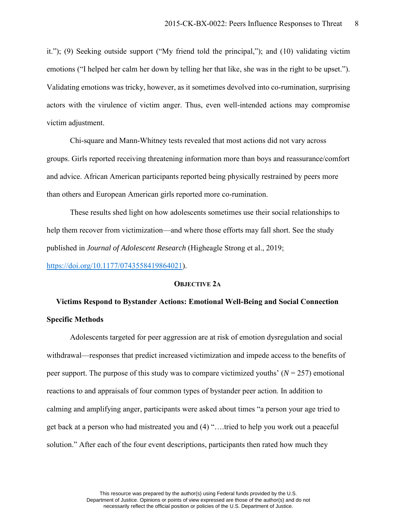it."); (9) Seeking outside support ("My friend told the principal,"); and (10) validating victim emotions ("I helped her calm her down by telling her that like, she was in the right to be upset."). Validating emotions was tricky, however, as it sometimes devolved into co-rumination, surprising actors with the virulence of victim anger. Thus, even well-intended actions may compromise victim adjustment.

Chi-square and Mann-Whitney tests revealed that most actions did not vary across groups. Girls reported receiving threatening information more than boys and reassurance/comfort and advice. African American participants reported being physically restrained by peers more than others and European American girls reported more co-rumination.

These results shed light on how adolescents sometimes use their social relationships to help them recover from victimization—and where those efforts may fall short. See the study published in *Journal of Adolescent Research* (Higheagle Strong et al., 2019;

[https://doi.org/10.1177/0743558419864021\)](https://doi.org/10.1177%2F0743558419864021).

### **OBJECTIVE 2A**

# **Victims Respond to Bystander Actions: Emotional Well-Being and Social Connection Specific Methods**

Adolescents targeted for peer aggression are at risk of emotion dysregulation and social withdrawal—responses that predict increased victimization and impede access to the benefits of peer support. The purpose of this study was to compare victimized youths'  $(N = 257)$  emotional reactions to and appraisals of four common types of bystander peer action. In addition to calming and amplifying anger, participants were asked about times "a person your age tried to get back at a person who had mistreated you and (4) "….tried to help you work out a peaceful solution." After each of the four event descriptions, participants then rated how much they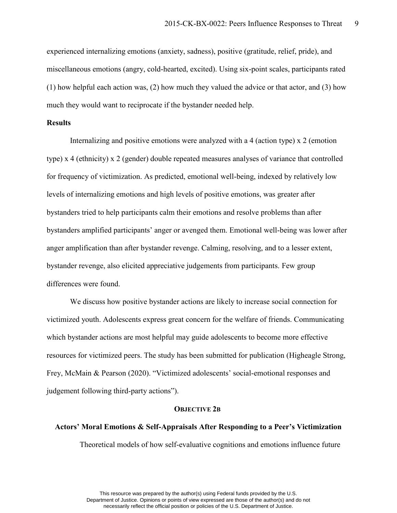experienced internalizing emotions (anxiety, sadness), positive (gratitude, relief, pride), and miscellaneous emotions (angry, cold-hearted, excited). Using six-point scales, participants rated (1) how helpful each action was, (2) how much they valued the advice or that actor, and (3) how much they would want to reciprocate if the bystander needed help.

# **Results**

Internalizing and positive emotions were analyzed with a 4 (action type) x 2 (emotion type) x 4 (ethnicity) x 2 (gender) double repeated measures analyses of variance that controlled for frequency of victimization. As predicted, emotional well-being, indexed by relatively low levels of internalizing emotions and high levels of positive emotions, was greater after bystanders tried to help participants calm their emotions and resolve problems than after bystanders amplified participants' anger or avenged them. Emotional well-being was lower after anger amplification than after bystander revenge. Calming, resolving, and to a lesser extent, bystander revenge, also elicited appreciative judgements from participants. Few group differences were found.

We discuss how positive bystander actions are likely to increase social connection for victimized youth. Adolescents express great concern for the welfare of friends. Communicating which bystander actions are most helpful may guide adolescents to become more effective resources for victimized peers. The study has been submitted for publication (Higheagle Strong, Frey, McMain & Pearson (2020). "Victimized adolescents' social-emotional responses and judgement following third-party actions").

#### **OBJECTIVE 2B**

# **Actors' Moral Emotions & Self-Appraisals After Responding to a Peer's Victimization** Theoretical models of how self-evaluative cognitions and emotions influence future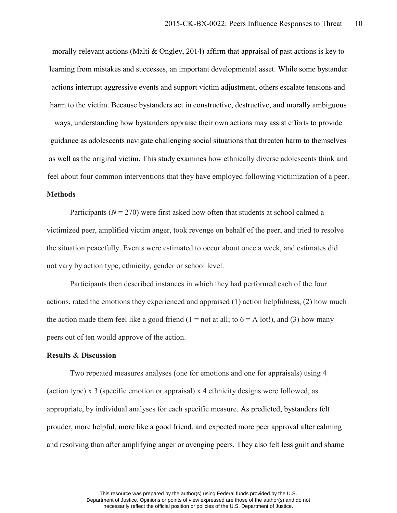morally-relevant actions (Malti & Ongley, 2014) affirm that appraisal of past actions is key to learning from mistakes and successes, an important developmental asset. While some bystander actions interrupt aggressive events and support victim adjustment, others escalate tensions and harm to the victim. Because bystanders act in constructive, destructive, and morally ambiguous ways, understanding how bystanders appraise their own actions may assist efforts to provide guidance as adolescents navigate challenging social situations that threaten harm to themselves as well as the original victim. This study examines how ethnically diverse adolescents think and feel about four common interventions that they have employed following victimization of a peer. **Methods**

Participants  $(N = 270)$  were first asked how often that students at school calmed a victimized peer, amplified victim anger, took revenge on behalf of the peer, and tried to resolve the situation peacefully. Events were estimated to occur about once a week, and estimates did not vary by action type, ethnicity, gender or school level.

Participants then described instances in which they had performed each of the four actions, rated the emotions they experienced and appraised (1) action helpfulness, (2) how much the action made them feel like a good friend (1 = not at all; to  $6 = \underline{A}$  lot!), and (3) how many peers out of ten would approve of the action.

### **Results & Discussion**

Two repeated measures analyses (one for emotions and one for appraisals) using 4 (action type) x 3 (specific emotion or appraisal) x 4 ethnicity designs were followed, as appropriate, by individual analyses for each specific measure. As predicted, bystanders felt prouder, more helpful, more like a good friend, and expected more peer approval after calming and resolving than after amplifying anger or avenging peers. They also felt less guilt and shame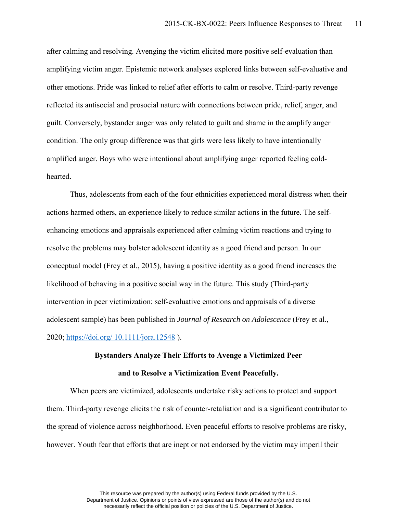after calming and resolving. Avenging the victim elicited more positive self-evaluation than amplifying victim anger. Epistemic network analyses explored links between self-evaluative and other emotions. Pride was linked to relief after efforts to calm or resolve. Third-party revenge reflected its antisocial and prosocial nature with connections between pride, relief, anger, and guilt. Conversely, bystander anger was only related to guilt and shame in the amplify anger condition. The only group difference was that girls were less likely to have intentionally amplified anger. Boys who were intentional about amplifying anger reported feeling coldhearted.

Thus, adolescents from each of the four ethnicities experienced moral distress when their actions harmed others, an experience likely to reduce similar actions in the future. The selfenhancing emotions and appraisals experienced after calming victim reactions and trying to resolve the problems may bolster adolescent identity as a good friend and person. In our conceptual model (Frey et al., 2015), having a positive identity as a good friend increases the likelihood of behaving in a positive social way in the future. This study (Third-party intervention in peer victimization: self-evaluative emotions and appraisals of a diverse adolescent sample) has been published in *Journal of Research on Adolescence* (Frey et al., 2020; https://doi.org/ [10.1111/jora.12548](https://doi.org/%2010.1111/jora.12548) ).

# **Bystanders Analyze Their Efforts to Avenge a Victimized Peer and to Resolve a Victimization Event Peacefully.**

When peers are victimized, adolescents undertake risky actions to protect and support them. Third-party revenge elicits the risk of counter-retaliation and is a significant contributor to the spread of violence across neighborhood. Even peaceful efforts to resolve problems are risky, however. Youth fear that efforts that are inept or not endorsed by the victim may imperil their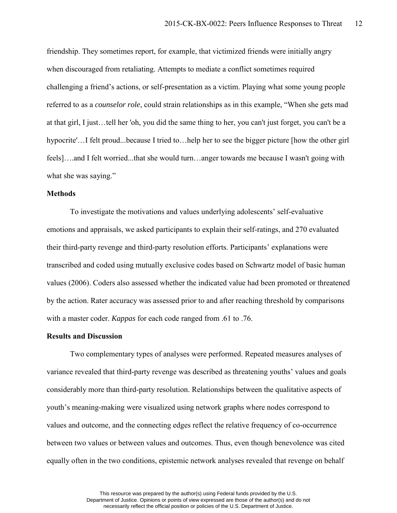friendship. They sometimes report, for example, that victimized friends were initially angry when discouraged from retaliating. Attempts to mediate a conflict sometimes required challenging a friend's actions, or self-presentation as a victim. Playing what some young people referred to as a *counselor role*, could strain relationships as in this example, "When she gets mad at that girl, I just…tell her 'oh, you did the same thing to her, you can't just forget, you can't be a hypocrite'…I felt proud...because I tried to…help her to see the bigger picture [how the other girl feels]….and I felt worried...that she would turn…anger towards me because I wasn't going with what she was saying."

## **Methods**

To investigate the motivations and values underlying adolescents' self-evaluative emotions and appraisals, we asked participants to explain their self-ratings, and 270 evaluated their third-party revenge and third-party resolution efforts. Participants' explanations were transcribed and coded using mutually exclusive codes based on Schwartz model of basic human values (2006). Coders also assessed whether the indicated value had been promoted or threatened by the action. Rater accuracy was assessed prior to and after reaching threshold by comparisons with a master coder. *Kappas* for each code ranged from .61 to .76.

### **Results and Discussion**

Two complementary types of analyses were performed. Repeated measures analyses of variance revealed that third-party revenge was described as threatening youths' values and goals considerably more than third-party resolution. Relationships between the qualitative aspects of youth's meaning-making were visualized using network graphs where nodes correspond to values and outcome, and the connecting edges reflect the relative frequency of co-occurrence between two values or between values and outcomes. Thus, even though benevolence was cited equally often in the two conditions, epistemic network analyses revealed that revenge on behalf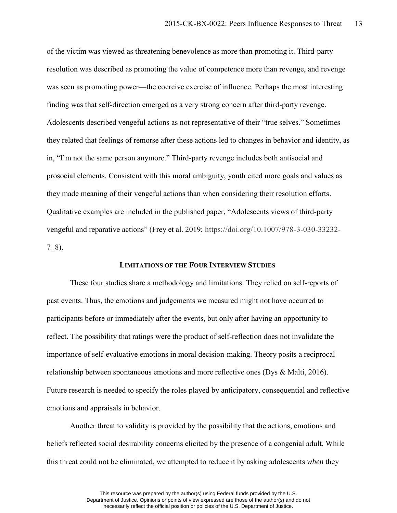of the victim was viewed as threatening benevolence as more than promoting it. Third-party resolution was described as promoting the value of competence more than revenge, and revenge was seen as promoting power—the coercive exercise of influence. Perhaps the most interesting finding was that self-direction emerged as a very strong concern after third-party revenge. Adolescents described vengeful actions as not representative of their "true selves." Sometimes they related that feelings of remorse after these actions led to changes in behavior and identity, as in, "I'm not the same person anymore." Third-party revenge includes both antisocial and prosocial elements. Consistent with this moral ambiguity, youth cited more goals and values as they made meaning of their vengeful actions than when considering their resolution efforts. Qualitative examples are included in the published paper, "Adolescents views of third-party vengeful and reparative actions" (Frey et al. 2019; https://doi.org/10.1007/978-3-030-33232- 7\_8).

# **LIMITATIONS OF THE FOUR INTERVIEW STUDIES**

These four studies share a methodology and limitations. They relied on self-reports of past events. Thus, the emotions and judgements we measured might not have occurred to participants before or immediately after the events, but only after having an opportunity to reflect. The possibility that ratings were the product of self-reflection does not invalidate the importance of self-evaluative emotions in moral decision-making. Theory posits a reciprocal relationship between spontaneous emotions and more reflective ones (Dys & Malti, 2016). Future research is needed to specify the roles played by anticipatory, consequential and reflective emotions and appraisals in behavior.

Another threat to validity is provided by the possibility that the actions, emotions and beliefs reflected social desirability concerns elicited by the presence of a congenial adult. While this threat could not be eliminated, we attempted to reduce it by asking adolescents *when* they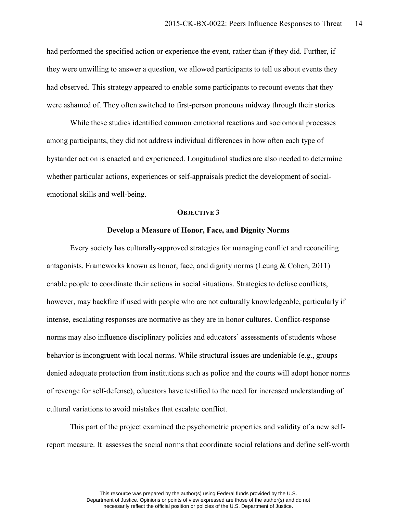had performed the specified action or experience the event, rather than *if* they did. Further, if they were unwilling to answer a question, we allowed participants to tell us about events they had observed. This strategy appeared to enable some participants to recount events that they were ashamed of. They often switched to first-person pronouns midway through their stories

While these studies identified common emotional reactions and sociomoral processes among participants, they did not address individual differences in how often each type of bystander action is enacted and experienced. Longitudinal studies are also needed to determine whether particular actions, experiences or self-appraisals predict the development of socialemotional skills and well-being.

### **OBJECTIVE 3**

### **Develop a Measure of Honor, Face, and Dignity Norms**

Every society has culturally-approved strategies for managing conflict and reconciling antagonists. Frameworks known as honor, face, and dignity norms (Leung & Cohen, 2011) enable people to coordinate their actions in social situations. Strategies to defuse conflicts, however, may backfire if used with people who are not culturally knowledgeable, particularly if intense, escalating responses are normative as they are in honor cultures. Conflict-response norms may also influence disciplinary policies and educators' assessments of students whose behavior is incongruent with local norms. While structural issues are undeniable (e.g., groups denied adequate protection from institutions such as police and the courts will adopt honor norms of revenge for self-defense), educators have testified to the need for increased understanding of cultural variations to avoid mistakes that escalate conflict.

This part of the project examined the psychometric properties and validity of a new selfreport measure. It assesses the social norms that coordinate social relations and define self-worth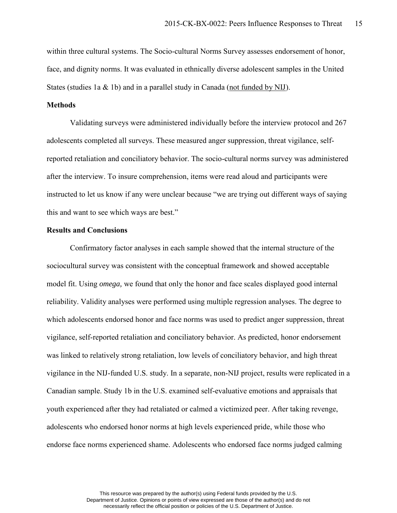within three cultural systems. The Socio-cultural Norms Survey assesses endorsement of honor, face, and dignity norms. It was evaluated in ethnically diverse adolescent samples in the United States (studies 1a & 1b) and in a parallel study in Canada (not funded by NIJ).

## **Methods**

Validating surveys were administered individually before the interview protocol and 267 adolescents completed all surveys. These measured anger suppression, threat vigilance, selfreported retaliation and conciliatory behavior. The socio-cultural norms survey was administered after the interview. To insure comprehension, items were read aloud and participants were instructed to let us know if any were unclear because "we are trying out different ways of saying this and want to see which ways are best."

## **Results and Conclusions**

Confirmatory factor analyses in each sample showed that the internal structure of the sociocultural survey was consistent with the conceptual framework and showed acceptable model fit. Using *omega,* we found that only the honor and face scales displayed good internal reliability. Validity analyses were performed using multiple regression analyses. The degree to which adolescents endorsed honor and face norms was used to predict anger suppression, threat vigilance, self-reported retaliation and conciliatory behavior. As predicted, honor endorsement was linked to relatively strong retaliation, low levels of conciliatory behavior, and high threat vigilance in the NIJ-funded U.S. study. In a separate, non-NIJ project, results were replicated in a Canadian sample. Study 1b in the U.S. examined self-evaluative emotions and appraisals that youth experienced after they had retaliated or calmed a victimized peer. After taking revenge, adolescents who endorsed honor norms at high levels experienced pride, while those who endorse face norms experienced shame. Adolescents who endorsed face norms judged calming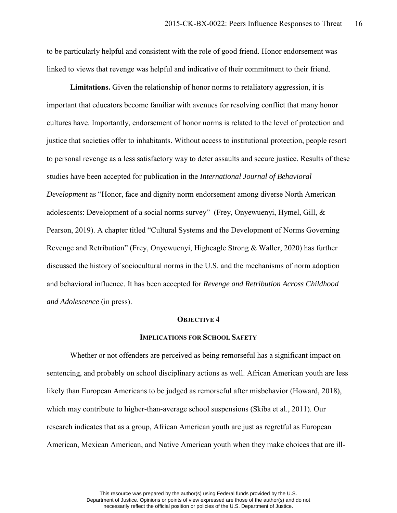to be particularly helpful and consistent with the role of good friend. Honor endorsement was linked to views that revenge was helpful and indicative of their commitment to their friend.

**Limitations.** Given the relationship of honor norms to retaliatory aggression, it is important that educators become familiar with avenues for resolving conflict that many honor cultures have. Importantly, endorsement of honor norms is related to the level of protection and justice that societies offer to inhabitants. Without access to institutional protection, people resort to personal revenge as a less satisfactory way to deter assaults and secure justice. Results of these studies have been accepted for publication in the *International Journal of Behavioral Development* as "Honor, face and dignity norm endorsement among diverse North American adolescents: Development of a social norms survey" (Frey, Onyewuenyi, Hymel, Gill, & Pearson, 2019). A chapter titled "Cultural Systems and the Development of Norms Governing Revenge and Retribution" (Frey, Onyewuenyi, Higheagle Strong & Waller, 2020) has further discussed the history of sociocultural norms in the U.S. and the mechanisms of norm adoption and behavioral influence. It has been accepted for *Revenge and Retribution Across Childhood and Adolescence* (in press).

#### **OBJECTIVE 4**

### **IMPLICATIONS FOR SCHOOL SAFETY**

Whether or not offenders are perceived as being remorseful has a significant impact on sentencing, and probably on school disciplinary actions as well. African American youth are less likely than European Americans to be judged as remorseful after misbehavior (Howard, 2018), which may contribute to higher-than-average school suspensions (Skiba et al., 2011). Our research indicates that as a group, African American youth are just as regretful as European American, Mexican American, and Native American youth when they make choices that are ill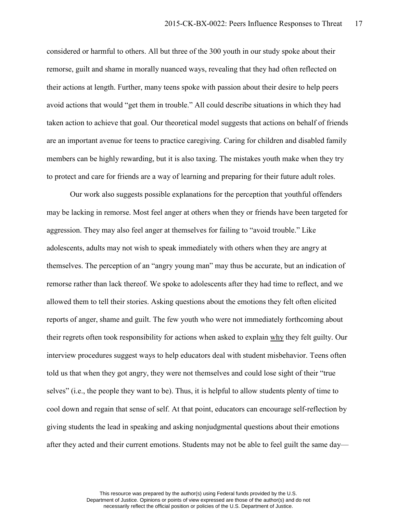considered or harmful to others. All but three of the 300 youth in our study spoke about their remorse, guilt and shame in morally nuanced ways, revealing that they had often reflected on their actions at length. Further, many teens spoke with passion about their desire to help peers avoid actions that would "get them in trouble." All could describe situations in which they had taken action to achieve that goal. Our theoretical model suggests that actions on behalf of friends are an important avenue for teens to practice caregiving. Caring for children and disabled family members can be highly rewarding, but it is also taxing. The mistakes youth make when they try to protect and care for friends are a way of learning and preparing for their future adult roles.

Our work also suggests possible explanations for the perception that youthful offenders may be lacking in remorse. Most feel anger at others when they or friends have been targeted for aggression. They may also feel anger at themselves for failing to "avoid trouble." Like adolescents, adults may not wish to speak immediately with others when they are angry at themselves. The perception of an "angry young man" may thus be accurate, but an indication of remorse rather than lack thereof. We spoke to adolescents after they had time to reflect, and we allowed them to tell their stories. Asking questions about the emotions they felt often elicited reports of anger, shame and guilt. The few youth who were not immediately forthcoming about their regrets often took responsibility for actions when asked to explain why they felt guilty. Our interview procedures suggest ways to help educators deal with student misbehavior. Teens often told us that when they got angry, they were not themselves and could lose sight of their "true selves" (i.e., the people they want to be). Thus, it is helpful to allow students plenty of time to cool down and regain that sense of self. At that point, educators can encourage self-reflection by giving students the lead in speaking and asking nonjudgmental questions about their emotions after they acted and their current emotions. Students may not be able to feel guilt the same day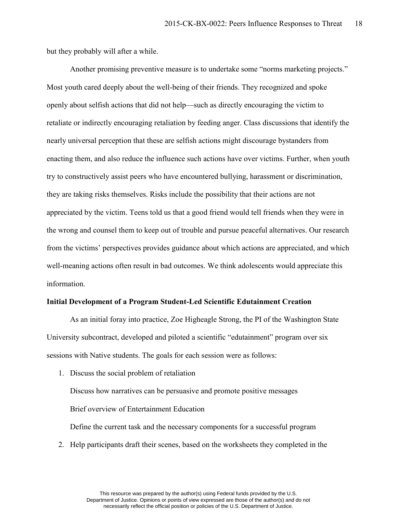but they probably will after a while.

Another promising preventive measure is to undertake some "norms marketing projects." Most youth cared deeply about the well-being of their friends. They recognized and spoke openly about selfish actions that did not help—such as directly encouraging the victim to retaliate or indirectly encouraging retaliation by feeding anger. Class discussions that identify the nearly universal perception that these are selfish actions might discourage bystanders from enacting them, and also reduce the influence such actions have over victims. Further, when youth try to constructively assist peers who have encountered bullying, harassment or discrimination, they are taking risks themselves. Risks include the possibility that their actions are not appreciated by the victim. Teens told us that a good friend would tell friends when they were in the wrong and counsel them to keep out of trouble and pursue peaceful alternatives. Our research from the victims' perspectives provides guidance about which actions are appreciated, and which well-meaning actions often result in bad outcomes. We think adolescents would appreciate this information.

### **Initial Development of a Program Student-Led Scientific Edutainment Creation**

As an initial foray into practice, Zoe Higheagle Strong, the PI of the Washington State University subcontract, developed and piloted a scientific "edutainment" program over six sessions with Native students. The goals for each session were as follows:

1. Discuss the social problem of retaliation

Discuss how narratives can be persuasive and promote positive messages Brief overview of Entertainment Education

Define the current task and the necessary components for a successful program

2. Help participants draft their scenes, based on the worksheets they completed in the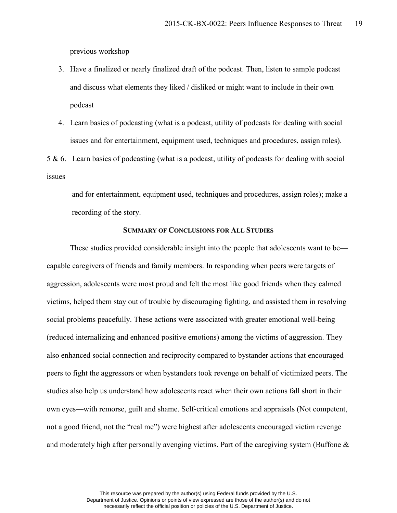previous workshop

- 3. Have a finalized or nearly finalized draft of the podcast. Then, listen to sample podcast and discuss what elements they liked / disliked or might want to include in their own podcast
- 4. Learn basics of podcasting (what is a podcast, utility of podcasts for dealing with social issues and for entertainment, equipment used, techniques and procedures, assign roles).

5 & 6. Learn basics of podcasting (what is a podcast, utility of podcasts for dealing with social issues

 and for entertainment, equipment used, techniques and procedures, assign roles); make a recording of the story.

# **SUMMARY OF CONCLUSIONS FOR ALL STUDIES**

These studies provided considerable insight into the people that adolescents want to be capable caregivers of friends and family members. In responding when peers were targets of aggression, adolescents were most proud and felt the most like good friends when they calmed victims, helped them stay out of trouble by discouraging fighting, and assisted them in resolving social problems peacefully. These actions were associated with greater emotional well-being (reduced internalizing and enhanced positive emotions) among the victims of aggression. They also enhanced social connection and reciprocity compared to bystander actions that encouraged peers to fight the aggressors or when bystanders took revenge on behalf of victimized peers. The studies also help us understand how adolescents react when their own actions fall short in their own eyes—with remorse, guilt and shame. Self-critical emotions and appraisals (Not competent, not a good friend, not the "real me") were highest after adolescents encouraged victim revenge and moderately high after personally avenging victims. Part of the caregiving system (Buffone &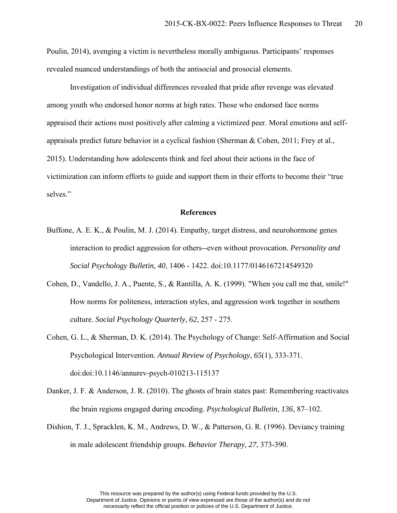Poulin, 2014), avenging a victim is nevertheless morally ambiguous. Participants' responses revealed nuanced understandings of both the antisocial and prosocial elements.

Investigation of individual differences revealed that pride after revenge was elevated among youth who endorsed honor norms at high rates. Those who endorsed face norms appraised their actions most positively after calming a victimized peer. Moral emotions and selfappraisals predict future behavior in a cyclical fashion (Sherman & Cohen, 2011; Frey et al., 2015). Understanding how adolescents think and feel about their actions in the face of victimization can inform efforts to guide and support them in their efforts to become their "true selves."

## **References**

- Buffone, A. E. K., & Poulin, M. J. (2014). Empathy, target distress, and neurohormone genes interaction to predict aggression for others--even without provocation. *Personality and Social Psychology Bulletin, 40*, 1406 - 1422. doi:10.1177/0146167214549320
- Cohen, D., Vandello, J. A., Puente, S., & Rantilla, A. K. (1999). "When you call me that, smile!" How norms for politeness, interaction styles, and aggression work together in southern culture. *Social Psychology Quarterly, 62*, 257 - 275.
- Cohen, G. L., & Sherman, D. K. (2014). The Psychology of Change: Self-Affirmation and Social Psychological Intervention. *Annual Review of Psychology, 65*(1), 333-371. doi:doi:10.1146/annurev-psych-010213-115137
- Danker, J. F. & Anderson, J. R. (2010). The ghosts of brain states past: Remembering reactivates the brain regions engaged during encoding. *Psychological Bulletin, 136*, 87–102.
- Dishion, T. J., Spracklen, K. M., Andrews, D. W., & Patterson, G. R. (1996). Deviancy training in male adolescent friendship groups. *Behavior Therapy, 27*, 373-390.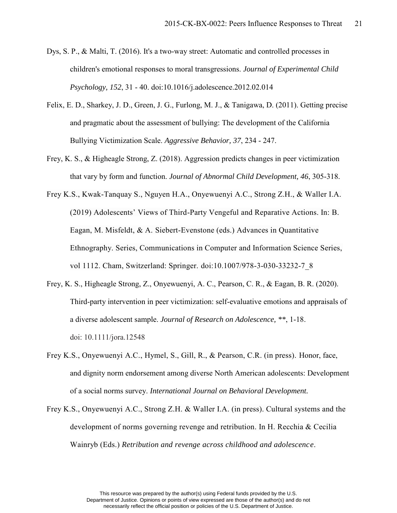- Dys, S. P., & Malti, T. (2016). It's a two-way street: Automatic and controlled processes in children's emotional responses to moral transgressions. *Journal of Experimental Child Psychology, 152*, 31 - 40. doi:10.1016/j.adolescence.2012.02.014
- Felix, E. D., Sharkey, J. D., Green, J. G., Furlong, M. J., & Tanigawa, D. (2011). Getting precise and pragmatic about the assessment of bullying: The development of the California Bullying Victimization Scale. *Aggressive Behavior, 37*, 234 - 247.
- Frey, K. S., & Higheagle Strong, Z. (2018). Aggression predicts changes in peer victimization that vary by form and function. *Journal of Abnormal Child Development, 46*, 305-318.
- Frey K.S., Kwak-Tanquay S., Nguyen H.A., Onyewuenyi A.C., Strong Z.H., & Waller I.A. (2019) Adolescents' Views of Third-Party Vengeful and Reparative Actions. In: B. Eagan, M. Misfeldt, & A. Siebert-Evenstone (eds.) Advances in Quantitative Ethnography. Series, Communications in Computer and Information Science Series, vol 1112. Cham, Switzerland: Springer. doi:10.1007/978-3-030-33232-7\_8
- Frey, K. S., Higheagle Strong, Z., Onyewuenyi, A. C., Pearson, C. R., & Eagan, B. R. (2020). Third-party intervention in peer victimization: self-evaluative emotions and appraisals of a diverse adolescent sample. *Journal of Research on Adolescence, \*\**, 1-18. doi: 10.1111/jora.12548
- Frey K.S., Onyewuenyi A.C., Hymel, S., Gill, R., & Pearson, C.R. (in press). Honor, face, and dignity norm endorsement among diverse North American adolescents: Development of a social norms survey. *International Journal on Behavioral Development.*
- Frey K.S., Onyewuenyi A.C., Strong Z.H. & Waller I.A. (in press). Cultural systems and the development of norms governing revenge and retribution. In H. Recchia & Cecilia Wainryb (Eds.) *Retribution and revenge across childhood and adolescence*.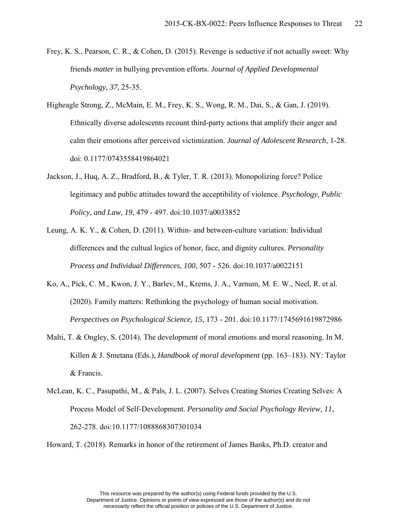- Frey, K. S., Pearson, C. R., & Cohen, D. (2015). Revenge is seductive if not actually sweet: Why friends *matter* in bullying prevention efforts. *Journal of Applied Developmental Psychology, 37*, 25-35.
- Higheagle Strong, Z., McMain, E. M., Frey, K. S., Wong, R. M., Dai, S., & Gan, J. (2019). Ethnically diverse adolescents recount third-party actions that amplify their anger and calm their emotions after perceived victimization. *Journal of Adolescent Research*, 1-28. doi: 0.1177/0743558419864021
- Jackson, J., Huq, A. Z., Bradford, B., & Tyler, T. R. (2013). Monopolizing force? Police legitimacy and public attitudes toward the acceptibility of violence. *Psychology, Public Policy, and Law, 19*, 479 - 497. doi:10.1037/a0033852
- Leung, A. K. Y., & Cohen, D. (2011). Within- and between-culture variation: Individual differences and the cultual logics of honor, face, and dignity cultures. *Personality Process and Individual Differences, 100*, 507 - 526. doi:10.1037/a0022151
- Ko, A., Pick, C. M., Kwon, J. Y., Barlev, M., Krems, J. A., Varnum, M. E. W., Neel, R. et al. (2020). Family matters: Rethinking the psychology of human social motivation. *Perspectives on Psychological Science, 15*, 173 - 201. doi:10.1177/1745691619872986
- Malti, T. & Ongley, S. (2014). The development of moral emotions and moral reasoning. In M. Killen & J. Smetana (Eds.), *Handbook of moral development* (pp. 163–183). NY: Taylor & Francis.
- McLean, K. C., Pasupathi, M., & Pals, J. L. (2007). Selves Creating Stories Creating Selves: A Process Model of Self-Development. *Personality and Social Psychology Review, 11*, 262-278. doi:10.1177/1088868307301034

Howard, T. (2018). Remarks in honor of the retirement of James Banks, Ph.D. creator and